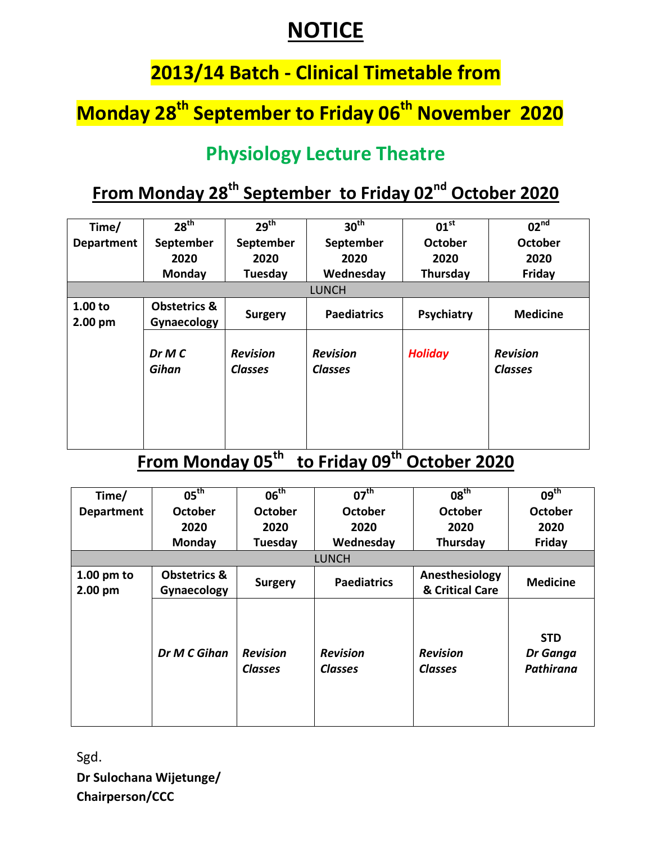### **NOTICE**

#### **2013/14 Batch - Clinical Timetable from**

# **Monday 28th September to Friday 06th November 2020**

#### **Physiology Lecture Theatre**

### **From Monday 28th September to Friday 02nd October 2020**

| Time/                | 28 <sup>th</sup>                       | 29 <sup>th</sup>                  | 30 <sup>th</sup>                  | $01^{\text{st}}$ | 02 <sup>nd</sup>                  |
|----------------------|----------------------------------------|-----------------------------------|-----------------------------------|------------------|-----------------------------------|
| <b>Department</b>    | September                              | September                         | September                         | <b>October</b>   | October                           |
|                      | 2020                                   | 2020                              | 2020                              | 2020             | 2020                              |
|                      | <b>Monday</b>                          | Tuesday                           | Wednesday                         | Thursday         | Friday                            |
|                      |                                        |                                   | <b>LUNCH</b>                      |                  |                                   |
| 1.00 to<br>$2.00$ pm | <b>Obstetrics &amp;</b><br>Gynaecology | <b>Surgery</b>                    | <b>Paediatrics</b>                | Psychiatry       | <b>Medicine</b>                   |
|                      | DrMC<br>Gihan                          | <b>Revision</b><br><b>Classes</b> | <b>Revision</b><br><b>Classes</b> | <b>Holiday</b>   | <b>Revision</b><br><b>Classes</b> |

### **From Monday 05th to Friday 09th October 2020**

| Time/             | $05^{\text{th}}$        | 06 <sup>th</sup>                  | $07^{\text{th}}$                  | 08 <sup>th</sup>                  | 09 <sup>th</sup>                           |
|-------------------|-------------------------|-----------------------------------|-----------------------------------|-----------------------------------|--------------------------------------------|
| <b>Department</b> | <b>October</b>          | October                           | October                           | October                           | October                                    |
|                   | 2020                    | 2020                              | 2020                              | 2020                              | 2020                                       |
|                   | Monday                  | Tuesday                           | Wednesday                         | Thursday                          | Friday                                     |
|                   |                         |                                   | <b>LUNCH</b>                      |                                   |                                            |
| $1.00$ pm to      | <b>Obstetrics &amp;</b> |                                   | <b>Paediatrics</b>                | Anesthesiology                    | <b>Medicine</b>                            |
| $2.00$ pm         | Gynaecology             | <b>Surgery</b>                    |                                   | & Critical Care                   |                                            |
|                   | Dr M C Gihan            | <b>Revision</b><br><b>Classes</b> | <b>Revision</b><br><b>Classes</b> | <b>Revision</b><br><b>Classes</b> | <b>STD</b><br>Dr Ganga<br><b>Pathirana</b> |

Sgd. **Dr Sulochana Wijetunge/ Chairperson/CCC**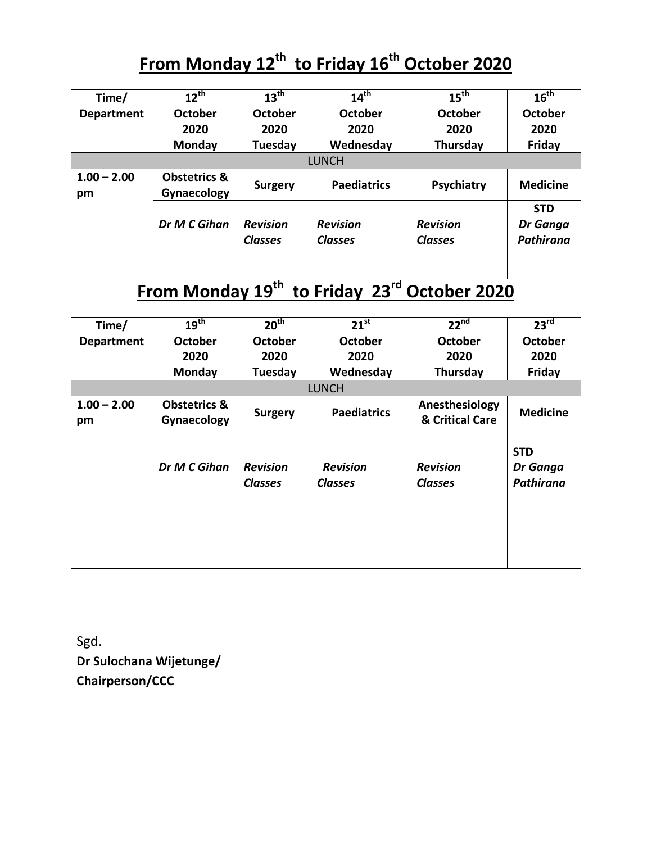# **From Monday 12th to Friday 16th October 2020**

| Time/               | $12^{th}$                              | $13^{\text{th}}$                  | 14 <sup>th</sup>                  | $15^{\text{th}}$                  | $16^{th}$                                  |
|---------------------|----------------------------------------|-----------------------------------|-----------------------------------|-----------------------------------|--------------------------------------------|
| <b>Department</b>   | <b>October</b>                         | October                           | October                           | October                           | October                                    |
|                     | 2020                                   | 2020                              | 2020                              | 2020                              | 2020                                       |
|                     | <b>Monday</b>                          | Tuesday                           | Wednesday                         | Thursday                          | Friday                                     |
|                     |                                        |                                   | <b>LUNCH</b>                      |                                   |                                            |
| $1.00 - 2.00$<br>pm | <b>Obstetrics &amp;</b><br>Gynaecology | <b>Surgery</b>                    | <b>Paediatrics</b>                | Psychiatry                        | <b>Medicine</b>                            |
|                     | Dr M C Gihan                           | <b>Revision</b><br><b>Classes</b> | <b>Revision</b><br><b>Classes</b> | <b>Revision</b><br><b>Classes</b> | <b>STD</b><br>Dr Ganga<br><b>Pathirana</b> |

# **From Monday 19th to Friday 23rd October 2020**

| Time/               | 19 <sup>th</sup>                       | 20 <sup>th</sup>                  | $21^{st}$                         | $22^{nd}$                         | 23 <sup>rd</sup>                    |
|---------------------|----------------------------------------|-----------------------------------|-----------------------------------|-----------------------------------|-------------------------------------|
| <b>Department</b>   | <b>October</b>                         | <b>October</b>                    | <b>October</b>                    | <b>October</b>                    | <b>October</b>                      |
|                     | 2020                                   | 2020                              | 2020                              | 2020                              | 2020                                |
|                     | Monday                                 | Tuesday                           | Wednesday                         | Thursday                          | Friday                              |
|                     |                                        |                                   | <b>LUNCH</b>                      |                                   |                                     |
| $1.00 - 2.00$<br>pm | <b>Obstetrics &amp;</b><br>Gynaecology | <b>Surgery</b>                    | <b>Paediatrics</b>                | Anesthesiology<br>& Critical Care | <b>Medicine</b>                     |
|                     | Dr M C Gihan                           | <b>Revision</b><br><b>Classes</b> | <b>Revision</b><br><b>Classes</b> | <b>Revision</b><br><b>Classes</b> | <b>STD</b><br>Dr Ganga<br>Pathirana |

Sgd. **Dr Sulochana Wijetunge/ Chairperson/CCC**